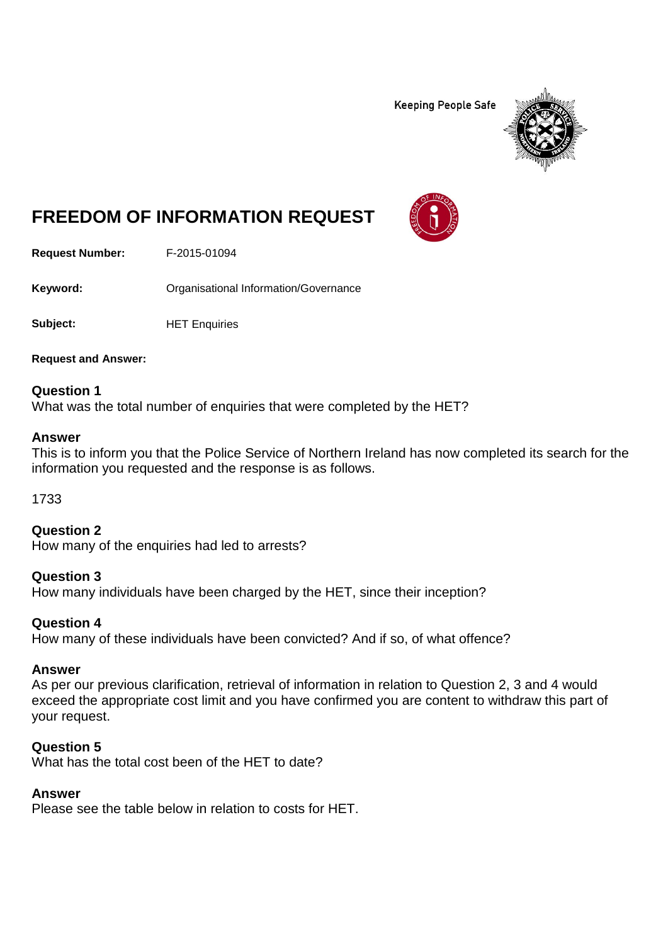**Keeping People Safe** 



# **FREEDOM OF INFORMATION REQUEST**

**Request Number:** F-2015-01094

Keyword: **Calcular Communists** Organisational Information/Governance

**Subject:** HET Enquiries

**Request and Answer:**

## **Question 1**

What was the total number of enquiries that were completed by the HET?

### **Answer**

This is to inform you that the Police Service of Northern Ireland has now completed its search for the information you requested and the response is as follows.

1733

**Question 2** How many of the enquiries had led to arrests?

## **Question 3**

How many individuals have been charged by the HET, since their inception?

## **Question 4**

How many of these individuals have been convicted? And if so, of what offence?

## **Answer**

As per our previous clarification, retrieval of information in relation to Question 2, 3 and 4 would exceed the appropriate cost limit and you have confirmed you are content to withdraw this part of your request.

## **Question 5**

What has the total cost been of the HET to date?

## **Answer**

Please see the table below in relation to costs for HET.